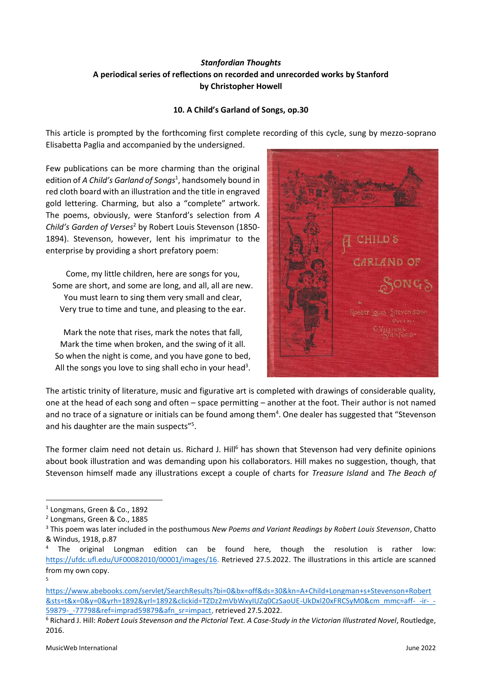# *Stanfordian Thoughts* **A periodical series of reflections on recorded and unrecorded works by Stanford by Christopher Howell**

## **10. A Child's Garland of Songs, op.30**

This article is prompted by the forthcoming first complete recording of this cycle, sung by mezzo-soprano Elisabetta Paglia and accompanied by the undersigned.

Few publications can be more charming than the original edition of *A Child's Garland of Songs*<sup>1</sup> , handsomely bound in red cloth board with an illustration and the title in engraved gold lettering. Charming, but also a "complete" artwork. The poems, obviously, were Stanford's selection from *A Child's Garden of Verses* <sup>2</sup> by Robert Louis Stevenson (1850- 1894). Stevenson, however, lent his imprimatur to the enterprise by providing a short prefatory poem:

Come, my little children, here are songs for you, Some are short, and some are long, and all, all are new. You must learn to sing them very small and clear, Very true to time and tune, and pleasing to the ear.

Mark the note that rises, mark the notes that fall, Mark the time when broken, and the swing of it all. So when the night is come, and you have gone to bed, All the songs you love to sing shall echo in your head<sup>3</sup>.



The artistic trinity of literature, music and figurative art is completed with drawings of considerable quality, one at the head of each song and often – space permitting – another at the foot. Their author is not named and no trace of a signature or initials can be found among them<sup>4</sup>. One dealer has suggested that "Stevenson and his daughter are the main suspects"<sup>5</sup>.

The former claim need not detain us. Richard J. Hill<sup>6</sup> has shown that Stevenson had very definite opinions about book illustration and was demanding upon his collaborators. Hill makes no suggestion, though, that Stevenson himself made any illustrations except a couple of charts for *Treasure Island* and *The Beach of* 

<sup>1</sup> Longmans, Green & Co., 1892

<sup>2</sup> Longmans, Green & Co., 1885

<sup>3</sup> This poem was later included in the posthumous *New Poems and Variant Readings by Robert Louis Stevenson*, Chatto & Windus, 1918, p.87

The original Longman edition can be found here, though the resolution is rather low: [https://ufdc.ufl.edu/UF00082010/00001/images/16.](https://ufdc.ufl.edu/UF00082010/00001/images/16) Retrieved 27.5.2022. The illustrations in this article are scanned from my own copy.

<sup>5</sup>

[https://www.abebooks.com/servlet/SearchResults?bi=0&bx=off&ds=30&kn=A+Child+Longman+s+Stevenson+Robert](https://www.abebooks.com/servlet/SearchResults?bi=0&bx=off&ds=30&kn=A+Child+Longman+s+Stevenson+Robert&sts=t&x=0&y=0&yrh=1892&yrl=1892&clickid=TZDz2mVbWxyIUZq0CzSaoUE-UkDxl20xFRCSyM0&cm_mmc=aff-_-ir-_-59879-_-77798&ref=imprad59879&afn_sr=impact) [&sts=t&x=0&y=0&yrh=1892&yrl=1892&clickid=TZDz2mVbWxyIUZq0CzSaoUE-UkDxl20xFRCSyM0&cm\\_mmc=aff-\\_-ir-\\_-](https://www.abebooks.com/servlet/SearchResults?bi=0&bx=off&ds=30&kn=A+Child+Longman+s+Stevenson+Robert&sts=t&x=0&y=0&yrh=1892&yrl=1892&clickid=TZDz2mVbWxyIUZq0CzSaoUE-UkDxl20xFRCSyM0&cm_mmc=aff-_-ir-_-59879-_-77798&ref=imprad59879&afn_sr=impact) [59879-\\_-77798&ref=imprad59879&afn\\_sr=impact,](https://www.abebooks.com/servlet/SearchResults?bi=0&bx=off&ds=30&kn=A+Child+Longman+s+Stevenson+Robert&sts=t&x=0&y=0&yrh=1892&yrl=1892&clickid=TZDz2mVbWxyIUZq0CzSaoUE-UkDxl20xFRCSyM0&cm_mmc=aff-_-ir-_-59879-_-77798&ref=imprad59879&afn_sr=impact) retrieved 27.5.2022.

<sup>6</sup> Richard J. Hill: *Robert Louis Stevenson and the Pictorial Text. A Case-Study in the Victorian Illustrated Novel*, Routledge, 2016.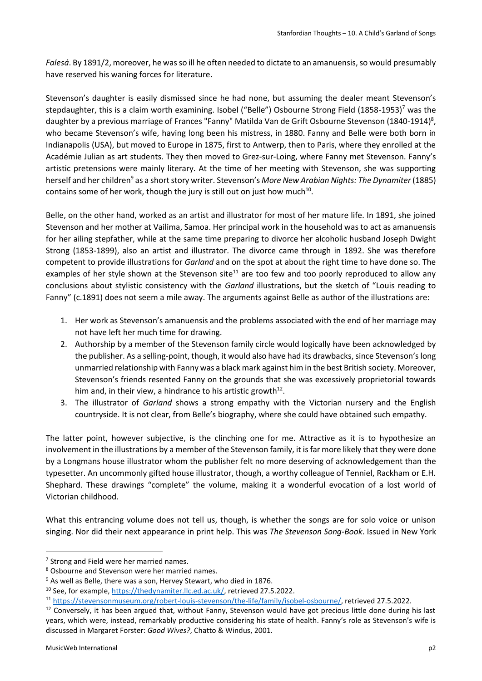*Falesá*. By 1891/2, moreover, he was so ill he often needed to dictate to an amanuensis, so would presumably have reserved his waning forces for literature.

Stevenson's daughter is easily dismissed since he had none, but assuming the dealer meant Stevenson's stepdaughter, this is a claim worth examining. Isobel ("Belle") Osbourne Strong Field (1858-1953)<sup>7</sup> was the daughter by a previous marriage of Frances "Fanny" Matilda Van de Grift Osbourne Stevenson (1840-1914)<sup>8</sup>, who became Stevenson's wife, having long been his mistress, in 1880. Fanny and Belle were both born in Indianapolis (USA), but moved to Europe in 1875, first to Antwerp, then to Paris, where they enrolled at the Académie Julian as art students. They then moved to Grez-sur-Loing, where Fanny met Stevenson. Fanny's artistic pretensions were mainly literary. At the time of her meeting with Stevenson, she was supporting herself and her children<sup>9</sup> as a short story writer. Stevenson's *More New Arabian Nights: The Dynamiter* (1885) contains some of her work, though the jury is still out on just how much $^{10}$ .

Belle, on the other hand, worked as an artist and illustrator for most of her mature life. In 1891, she joined Stevenson and her mother at Vailima, Samoa. Her principal work in the household was to act as amanuensis for her ailing stepfather, while at the same time preparing to divorce her alcoholic husband Joseph Dwight Strong (1853-1899), also an artist and illustrator. The divorce came through in 1892. She was therefore competent to provide illustrations for *Garland* and on the spot at about the right time to have done so. The examples of her style shown at the Stevenson site<sup>11</sup> are too few and too poorly reproduced to allow any conclusions about stylistic consistency with the *Garland* illustrations, but the sketch of "Louis reading to Fanny" (c.1891) does not seem a mile away. The arguments against Belle as author of the illustrations are:

- 1. Her work as Stevenson's amanuensis and the problems associated with the end of her marriage may not have left her much time for drawing.
- 2. Authorship by a member of the Stevenson family circle would logically have been acknowledged by the publisher. As a selling-point, though, it would also have had its drawbacks, since Stevenson's long unmarried relationship with Fanny was a black mark against him in the best British society. Moreover, Stevenson's friends resented Fanny on the grounds that she was excessively proprietorial towards him and, in their view, a hindrance to his artistic growth $^{12}$ .
- 3. The illustrator of *Garland* shows a strong empathy with the Victorian nursery and the English countryside. It is not clear, from Belle's biography, where she could have obtained such empathy.

The latter point, however subjective, is the clinching one for me. Attractive as it is to hypothesize an involvement in the illustrations by a member of the Stevenson family, it is far more likely that they were done by a Longmans house illustrator whom the publisher felt no more deserving of acknowledgement than the typesetter. An uncommonly gifted house illustrator, though, a worthy colleague of Tenniel, Rackham or E.H. Shephard. These drawings "complete" the volume, making it a wonderful evocation of a lost world of Victorian childhood.

What this entrancing volume does not tell us, though, is whether the songs are for solo voice or unison singing. Nor did their next appearance in print help. This was *The Stevenson Song-Book*. Issued in New York

<sup>&</sup>lt;sup>7</sup> Strong and Field were her married names.

<sup>8</sup> Osbourne and Stevenson were her married names.

<sup>9</sup> As well as Belle, there was a son, Hervey Stewart, who died in 1876.

<sup>&</sup>lt;sup>10</sup> See, for example, [https://thedynamiter.llc.ed.ac.uk/,](https://thedynamiter.llc.ed.ac.uk/) retrieved 27.5.2022.

<sup>11</sup> [https://stevensonmuseum.org/robert-louis-stevenson/the-life/family/isobel-osbourne/,](https://stevensonmuseum.org/robert-louis-stevenson/the-life/family/isobel-osbourne/) retrieved 27.5.2022.

 $12$  Conversely, it has been argued that, without Fanny, Stevenson would have got precious little done during his last years, which were, instead, remarkably productive considering his state of health. Fanny's role as Stevenson's wife is discussed in Margaret Forster: *Good Wives?*, Chatto & Windus, 2001.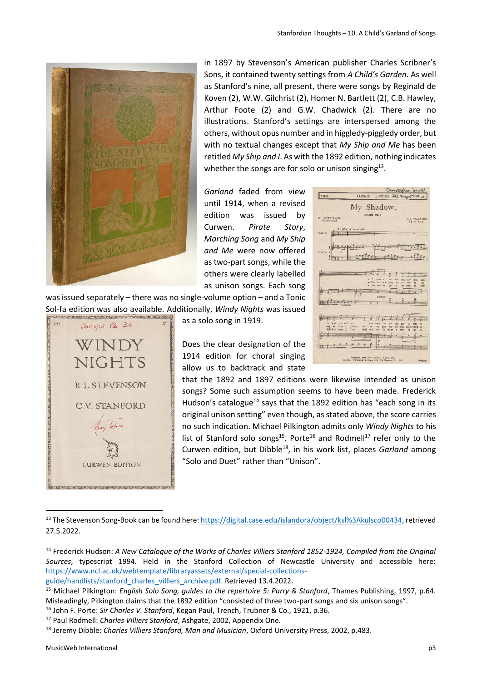

in 1897 by Stevenson's American publisher Charles Scribner's Sons, it contained twenty settings from *A Child's Garden*. As well as Stanford's nine, all present, there were songs by Reginald de Koven (2), W.W. Gilchrist (2), Homer N. Bartlett (2), C.B. Hawley, Arthur Foote (2) and G.W. Chadwick (2). There are no illustrations. Stanford's settings are interspersed among the others, without opus number and in higgledy-piggledy order, but with no textual changes except that *My Ship and Me* has been retitled *My Ship and I*. As with the 1892 edition, nothing indicates whether the songs are for solo or unison singing $^{13}$ .

 $\blacksquare$ 

*Garland* faded from view until 1914, when a revised edition was issued by Curwen. *Pirate Story*, *Marching Song* and *My Ship and Me* were now offered as two-part songs, while the others were clearly labelled as unison songs. Each song

was issued separately – there was no single-volume option – and a Tonic Sol-fa edition was also available. Additionally, *Windy Nights* was issued



as a solo song in 1919.

Does the clear designation of the 1914 edition for choral singing allow us to backtrack and state

| My Shadow.<br>UNISON SONG.<br><b>R.L. STEVENSON</b><br>C.V. STANFORD<br><b>Gravinskin</b><br>Op.zo. No. a.                                                                                                                                                                                                            |
|-----------------------------------------------------------------------------------------------------------------------------------------------------------------------------------------------------------------------------------------------------------------------------------------------------------------------|
| Allegro acherenndo.<br>VOICE.<br>40a).<br>1000a<br>PIANO.                                                                                                                                                                                                                                                             |
| <b>AREAN 24</b><br>t<br>kett a<br>以上<br>Hw.<br>ska - daw<br>itat<br>groups<br>a. The first rise thing<br>$x -$ beat<br>27n<br>Yk.<br>134<br>¥.<br>He Tus vil<br>A'ot<br>mi - tien<br>oč<br><b>kaw</b>                                                                                                                 |
| łx<br>siecelle                                                                                                                                                                                                                                                                                                        |
| <b>ktd</b><br>out with mr.<br>Axd:<br>what:<br><b>TIAR</b><br>be<br>the<br>2549<br>œ<br>3.125<br>w<br>likes to grow-<br>way he<br><b>Nut</b><br>at<br>all Fas<br>pro - per chil - dree, which as<br>chil-dren ought to<br>$an - 1$ v<br>play.<br>Aud<br>caw<br>nals<br>frei<br>s<br>nf.<br><b>RO</b><br>iz.<br>×<br>۰ |
| Gerreich, 1914, by J. Graves a Son List.<br>London: J. Carwre & Sons Ltd., 28 Sarmers St., W.4.<br><b>CUNTER</b>                                                                                                                                                                                                      |

that the 1892 and 1897 editions were likewise intended as unison songs? Some such assumption seems to have been made. Frederick Hudson's catalogue<sup>14</sup> says that the 1892 edition has "each song in its original unison setting" even though, as stated above, the score carries no such indication. Michael Pilkington admits only *Windy Nights* to his list of Stanford solo songs<sup>15</sup>. Porte<sup>16</sup> and Rodmell<sup>17</sup> refer only to the Curwen edition, but Dibble<sup>18</sup>, in his work list, places *Garland* among "Solo and Duet" rather than "Unison".

<sup>13</sup> The Stevenson Song-Book can be found here[: https://digital.case.edu/islandora/object/ksl%3Akulsco00434,](https://digital.case.edu/islandora/object/ksl%3Akulsco00434) retrieved 27.5.2022.

<sup>14</sup> Frederick Hudson: *A New Catalogue of the Works of Charles Villiers Stanford 1852-1924, Compiled from the Original Sources*, typescript 1994. Held in the Stanford Collection of Newcastle University and accessible here: [https://www.ncl.ac.uk/webtemplate/libraryassets/external/special-collections-](https://www.ncl.ac.uk/webtemplate/libraryassets/external/special-collections-guide/handlists/stanford_charles_villiers_archive.pdf)

[guide/handlists/stanford\\_charles\\_villiers\\_archive.pdf.](https://www.ncl.ac.uk/webtemplate/libraryassets/external/special-collections-guide/handlists/stanford_charles_villiers_archive.pdf) Retrieved 13.4.2022.

<sup>15</sup> Michael Pilkington: *English Solo Song, guides to the repertoire 5: Parry & Stanford*, Thames Publishing, 1997, p.64. Misleadingly, Pilkington claims that the 1892 edition "consisted of three two-part songs and six unison songs".

<sup>16</sup> John F. Porte: *Sir Charles V. Stanford*, Kegan Paul, Trench, Trubner & Co., 1921, p.36.

<sup>17</sup> Paul Rodmell: *Charles Villiers Stanford*, Ashgate, 2002, Appendix One.

<sup>18</sup> Jeremy Dibble: *Charles Villiers Stanford, Man and Musician*, Oxford University Press, 2002, p.483.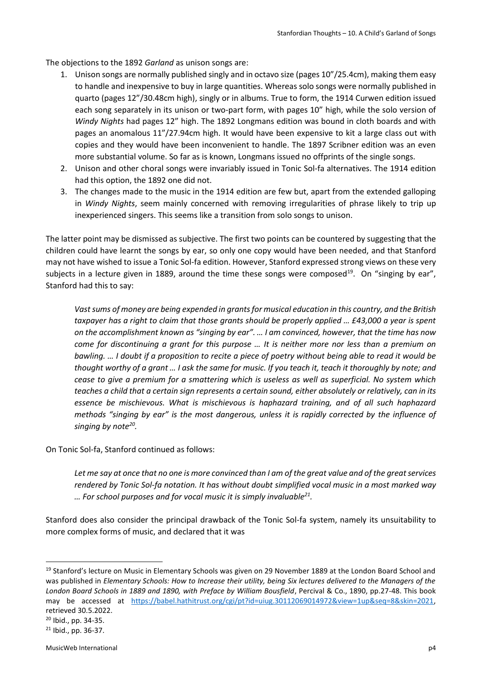The objections to the 1892 *Garland* as unison songs are:

- 1. Unison songs are normally published singly and in octavo size (pages 10"/25.4cm), making them easy to handle and inexpensive to buy in large quantities. Whereas solo songs were normally published in quarto (pages 12"/30.48cm high), singly or in albums. True to form, the 1914 Curwen edition issued each song separately in its unison or two-part form, with pages 10" high, while the solo version of *Windy Nights* had pages 12" high. The 1892 Longmans edition was bound in cloth boards and with pages an anomalous 11"/27.94cm high. It would have been expensive to kit a large class out with copies and they would have been inconvenient to handle. The 1897 Scribner edition was an even more substantial volume. So far as is known, Longmans issued no offprints of the single songs.
- 2. Unison and other choral songs were invariably issued in Tonic Sol-fa alternatives. The 1914 edition had this option, the 1892 one did not.
- 3. The changes made to the music in the 1914 edition are few but, apart from the extended galloping in *Windy Nights*, seem mainly concerned with removing irregularities of phrase likely to trip up inexperienced singers. This seems like a transition from solo songs to unison.

The latter point may be dismissed as subjective. The first two points can be countered by suggesting that the children could have learnt the songs by ear, so only one copy would have been needed, and that Stanford may not have wished to issue a Tonic Sol-fa edition. However, Stanford expressed strong views on these very subjects in a lecture given in 1889, around the time these songs were composed<sup>19</sup>. On "singing by ear", Stanford had this to say:

*Vast sums of money are being expended in grants for musical education in this country, and the British taxpayer has a right to claim that those grants should be properly applied … £43,000 a year is spent on the accomplishment known as "singing by ear". … I am convinced, however, that the time has now come for discontinuing a grant for this purpose … It is neither more nor less than a premium on bawling. … I doubt if a proposition to recite a piece of poetry without being able to read it would be thought worthy of a grant … I ask the same for music. If you teach it, teach it thoroughly by note; and cease to give a premium for a smattering which is useless as well as superficial. No system which teaches a child that a certain sign represents a certain sound, either absolutely or relatively, can in its essence be mischievous. What is mischievous is haphazard training, and of all such haphazard methods "singing by ear" is the most dangerous, unless it is rapidly corrected by the influence of singing by note<sup>20</sup> .* 

On Tonic Sol-fa, Stanford continued as follows:

*Let me say at once that no one is more convinced than I am of the great value and of the great services rendered by Tonic Sol-fa notation. It has without doubt simplified vocal music in a most marked way … For school purposes and for vocal music it is simply invaluable<sup>21</sup> .*

Stanford does also consider the principal drawback of the Tonic Sol-fa system, namely its unsuitability to more complex forms of music, and declared that it was

<sup>&</sup>lt;sup>19</sup> Stanford's lecture on Music in Elementary Schools was given on 29 November 1889 at the London Board School and was published in *Elementary Schools: How to Increase their utility, being Six lectures delivered to the Managers of the London Board Schools in 1889 and 1890, with Preface by William Bousfield*, Percival & Co., 1890, pp.27-48. This book may be accessed at [https://babel.hathitrust.org/cgi/pt?id=uiug.30112069014972&view=1up&seq=8&skin=2021,](https://babel.hathitrust.org/cgi/pt?id=uiug.30112069014972&view=1up&seq=8&skin=2021) retrieved 30.5.2022.

<sup>20</sup> Ibid., pp. 34-35.

<sup>21</sup> Ibid., pp. 36-37.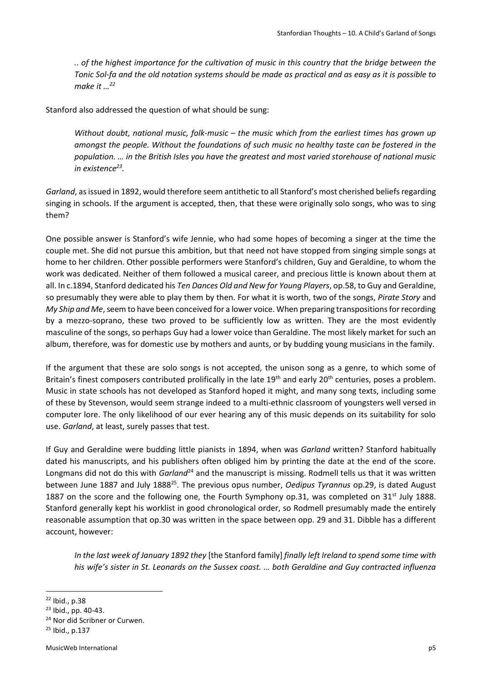*.. of the highest importance for the cultivation of music in this country that the bridge between the Tonic Sol-fa and the old notation systems should be made as practical and as easy as it is possible to make it …<sup>22</sup>*

Stanford also addressed the question of what should be sung:

*Without doubt, national music, folk-music – the music which from the earliest times has grown up amongst the people. Without the foundations of such music no healthy taste can be fostered in the population. … in the British Isles you have the greatest and most varied storehouse of national music in existence<sup>23</sup> .*

*Garland*, as issued in 1892, would therefore seem antithetic to all Stanford's most cherished beliefs regarding singing in schools. If the argument is accepted, then, that these were originally solo songs, who was to sing them?

One possible answer is Stanford's wife Jennie, who had some hopes of becoming a singer at the time the couple met. She did not pursue this ambition, but that need not have stopped from singing simple songs at home to her children. Other possible performers were Stanford's children, Guy and Geraldine, to whom the work was dedicated. Neither of them followed a musical career, and precious little is known about them at all. In c.1894, Stanford dedicated his *Ten Dances Old and New for Young Players*, op.58, to Guy and Geraldine, so presumably they were able to play them by then. For what it is worth, two of the songs, *Pirate Story* and *My Ship and Me*, seem to have been conceived for a lower voice. When preparing transpositions for recording by a mezzo-soprano, these two proved to be sufficiently low as written. They are the most evidently masculine of the songs, so perhaps Guy had a lower voice than Geraldine. The most likely market for such an album, therefore, was for domestic use by mothers and aunts, or by budding young musicians in the family.

If the argument that these are solo songs is not accepted, the unison song as a genre, to which some of Britain's finest composers contributed prolifically in the late  $19<sup>th</sup>$  and early 20<sup>th</sup> centuries, poses a problem. Music in state schools has not developed as Stanford hoped it might, and many song texts, including some of these by Stevenson, would seem strange indeed to a multi-ethnic classroom of youngsters well versed in computer lore. The only likelihood of our ever hearing any of this music depends on its suitability for solo use. *Garland*, at least, surely passes that test.

If Guy and Geraldine were budding little pianists in 1894, when was *Garland* written? Stanford habitually dated his manuscripts, and his publishers often obliged him by printing the date at the end of the score. Longmans did not do this with *Garland*<sup>24</sup> and the manuscript is missing. Rodmell tells us that it was written between June 1887 and July 1888<sup>25</sup> . The previous opus number, *Oedipus Tyrannus* op.29, is dated August 1887 on the score and the following one, the Fourth Symphony op.31, was completed on 31<sup>st</sup> July 1888. Stanford generally kept his worklist in good chronological order, so Rodmell presumably made the entirely reasonable assumption that op.30 was written in the space between opp. 29 and 31. Dibble has a different account, however:

*In the last week of January 1892 they* [the Stanford family] *finally left Ireland to spend some time with his wife's sister in St. Leonards on the Sussex coast. … both Geraldine and Guy contracted influenza* 

<sup>22</sup> Ibid., p.38

<sup>23</sup> Ibid., pp. 40-43.

<sup>24</sup> Nor did Scribner or Curwen.

<sup>25</sup> Ibid., p.137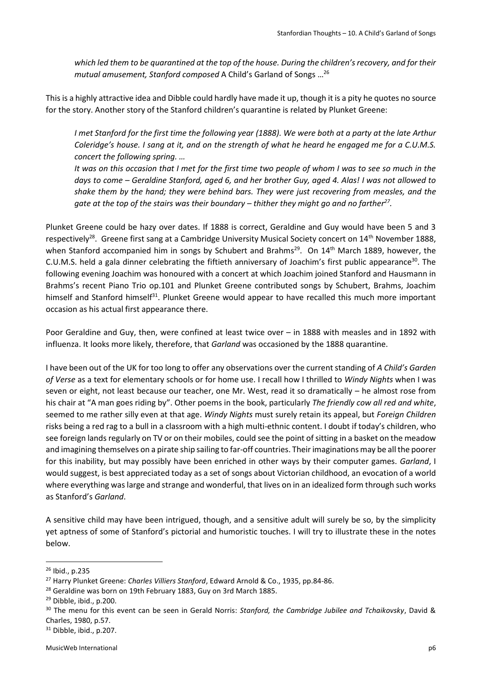*which led them to be quarantined at the top of the house. During the children's recovery, and for their mutual amusement, Stanford composed* A Child's Garland of Songs … 26

This is a highly attractive idea and Dibble could hardly have made it up, though it is a pity he quotes no source for the story. Another story of the Stanford children's quarantine is related by Plunket Greene:

*I met Stanford for the first time the following year (1888). We were both at a party at the late Arthur Coleridge's house. I sang at it, and on the strength of what he heard he engaged me for a C.U.M.S. concert the following spring. …* 

*It was on this occasion that I met for the first time two people of whom I was to see so much in the days to come – Geraldine Stanford, aged 6, and her brother Guy, aged 4. Alas! I was not allowed to shake them by the hand; they were behind bars. They were just recovering from measles, and the*  gate at the top of the stairs was their boundary – thither they might go and no farther<sup>27</sup>.

Plunket Greene could be hazy over dates. If 1888 is correct, Geraldine and Guy would have been 5 and 3 respectively<sup>28</sup>. Greene first sang at a Cambridge University Musical Society concert on 14<sup>th</sup> November 1888, when Stanford accompanied him in songs by Schubert and Brahms<sup>29</sup>. On 14<sup>th</sup> March 1889, however, the C.U.M.S. held a gala dinner celebrating the fiftieth anniversary of Joachim's first public appearance<sup>30</sup>. The following evening Joachim was honoured with a concert at which Joachim joined Stanford and Hausmann in Brahms's recent Piano Trio op.101 and Plunket Greene contributed songs by Schubert, Brahms, Joachim himself and Stanford himself<sup>31</sup>. Plunket Greene would appear to have recalled this much more important occasion as his actual first appearance there.

Poor Geraldine and Guy, then, were confined at least twice over – in 1888 with measles and in 1892 with influenza. It looks more likely, therefore, that *Garland* was occasioned by the 1888 quarantine.

I have been out of the UK for too long to offer any observations over the current standing of *A Child's Garden of Verse* as a text for elementary schools or for home use. I recall how I thrilled to *Windy Nights* when I was seven or eight, not least because our teacher, one Mr. West, read it so dramatically – he almost rose from his chair at "A man goes riding by". Other poems in the book, particularly *The friendly cow all red and white*, seemed to me rather silly even at that age. *Windy Nights* must surely retain its appeal, but *Foreign Children*  risks being a red rag to a bull in a classroom with a high multi-ethnic content. I doubt if today's children, who see foreign lands regularly on TV or on their mobiles, could see the point of sitting in a basket on the meadow and imagining themselves on a pirate ship sailing to far-off countries. Their imaginations may be all the poorer for this inability, but may possibly have been enriched in other ways by their computer games. *Garland*, I would suggest, is best appreciated today as a set of songs about Victorian childhood, an evocation of a world where everything was large and strange and wonderful, that lives on in an idealized form through such works as Stanford's *Garland*.

A sensitive child may have been intrigued, though, and a sensitive adult will surely be so, by the simplicity yet aptness of some of Stanford's pictorial and humoristic touches. I will try to illustrate these in the notes below.

<sup>26</sup> Ibid., p.235

<sup>27</sup> Harry Plunket Greene: *Charles Villiers Stanford*, Edward Arnold & Co., 1935, pp.84-86.

<sup>&</sup>lt;sup>28</sup> Geraldine was born on 19th February 1883, Guy on 3rd March 1885.

<sup>&</sup>lt;sup>29</sup> Dibble, ibid., p.200.

<sup>30</sup> The menu for this event can be seen in Gerald Norris: *Stanford, the Cambridge Jubilee and Tchaikovsky*, David & Charles, 1980, p.57.

<sup>31</sup> Dibble, ibid., p.207.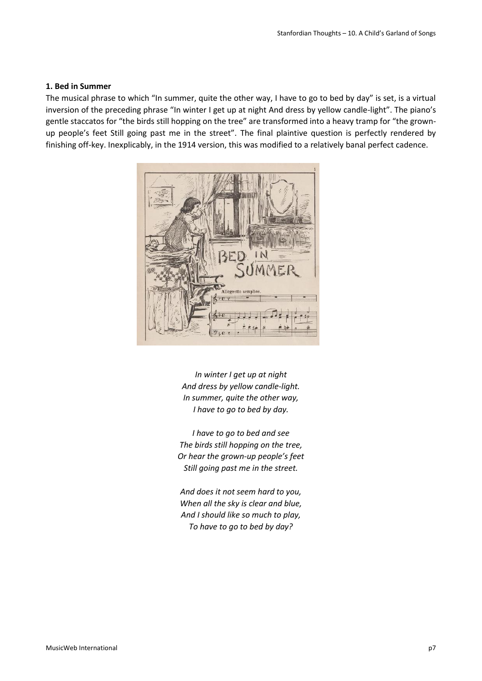### **1. Bed in Summer**

The musical phrase to which "In summer, quite the other way, I have to go to bed by day" is set, is a virtual inversion of the preceding phrase "In winter I get up at night And dress by yellow candle-light". The piano's gentle staccatos for "the birds still hopping on the tree" are transformed into a heavy tramp for "the grownup people's feet Still going past me in the street". The final plaintive question is perfectly rendered by finishing off-key. Inexplicably, in the 1914 version, this was modified to a relatively banal perfect cadence.



*In winter I get up at night And dress by yellow candle-light. In summer, quite the other way, I have to go to bed by day.*

*I have to go to bed and see The birds still hopping on the tree, Or hear the grown-up people's feet Still going past me in the street.*

*And does it not seem hard to you, When all the sky is clear and blue, And I should like so much to play, To have to go to bed by day?*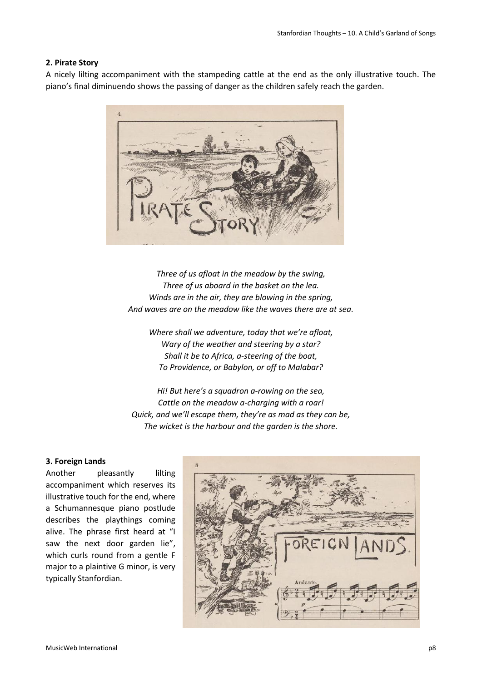## **2. Pirate Story**

A nicely lilting accompaniment with the stampeding cattle at the end as the only illustrative touch. The piano's final diminuendo shows the passing of danger as the children safely reach the garden.



*Three of us afloat in the meadow by the swing, Three of us aboard in the basket on the lea. Winds are in the air, they are blowing in the spring, And waves are on the meadow like the waves there are at sea.*

*Where shall we adventure, today that we're afloat, Wary of the weather and steering by a star? Shall it be to Africa, a-steering of the boat, To Providence, or Babylon, or off to Malabar?*

*Hi! But here's a squadron a-rowing on the sea, Cattle on the meadow a-charging with a roar! Quick, and we'll escape them, they're as mad as they can be, The wicket is the harbour and the garden is the shore.*

#### **3. Foreign Lands**

Another pleasantly lilting accompaniment which reserves its illustrative touch for the end, where a Schumannesque piano postlude describes the playthings coming alive. The phrase first heard at "I saw the next door garden lie", which curls round from a gentle F major to a plaintive G minor, is very typically Stanfordian.

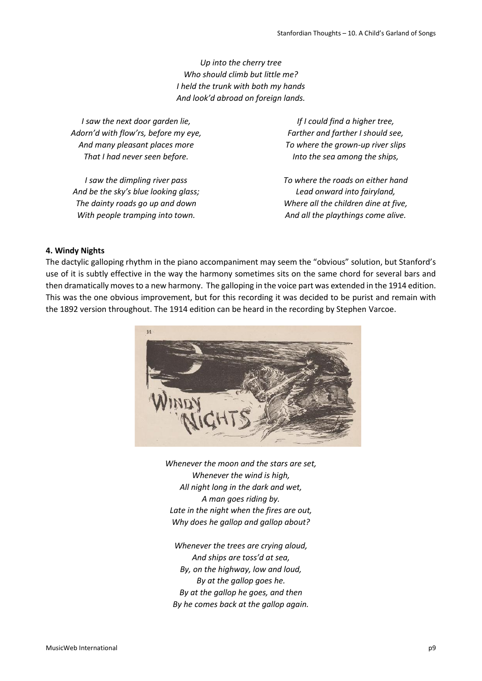*Up into the cherry tree Who should climb but little me? I held the trunk with both my hands And look'd abroad on foreign lands.*

*I saw the next door garden lie, Adorn'd with flow'rs, before my eye, And many pleasant places more That I had never seen before.*

*I saw the dimpling river pass And be the sky's blue looking glass; The dainty roads go up and down With people tramping into town.*

*If I could find a higher tree, Farther and farther I should see, To where the grown-up river slips Into the sea among the ships,*

*To where the roads on either hand Lead onward into fairyland, Where all the children dine at five, And all the playthings come alive.*

## **4. Windy Nights**

The dactylic galloping rhythm in the piano accompaniment may seem the "obvious" solution, but Stanford's use of it is subtly effective in the way the harmony sometimes sits on the same chord for several bars and then dramatically moves to a new harmony. The galloping in the voice part was extended in the 1914 edition. This was the one obvious improvement, but for this recording it was decided to be purist and remain with the 1892 version throughout. The 1914 edition can be heard in the recording by Stephen Varcoe.



*Whenever the moon and the stars are set, Whenever the wind is high, All night long in the dark and wet, A man goes riding by. Late in the night when the fires are out, Why does he gallop and gallop about?*

*Whenever the trees are crying aloud, And ships are toss'd at sea, By, on the highway, low and loud, By at the gallop goes he. By at the gallop he goes, and then By he comes back at the gallop again.*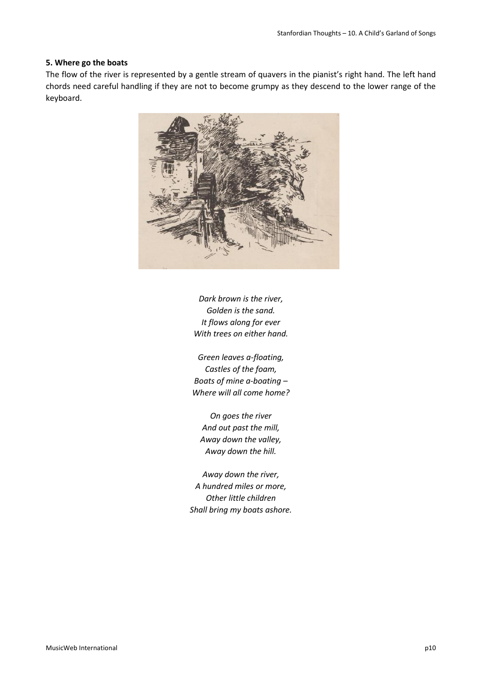#### **5. Where go the boats**

The flow of the river is represented by a gentle stream of quavers in the pianist's right hand. The left hand chords need careful handling if they are not to become grumpy as they descend to the lower range of the keyboard.



*Dark brown is the river, Golden is the sand. It flows along for ever With trees on either hand.*

*Green leaves a-floating, Castles of the foam, Boats of mine a-boating – Where will all come home?*

*On goes the river And out past the mill, Away down the valley, Away down the hill.*

*Away down the river, A hundred miles or more, Other little children Shall bring my boats ashore.*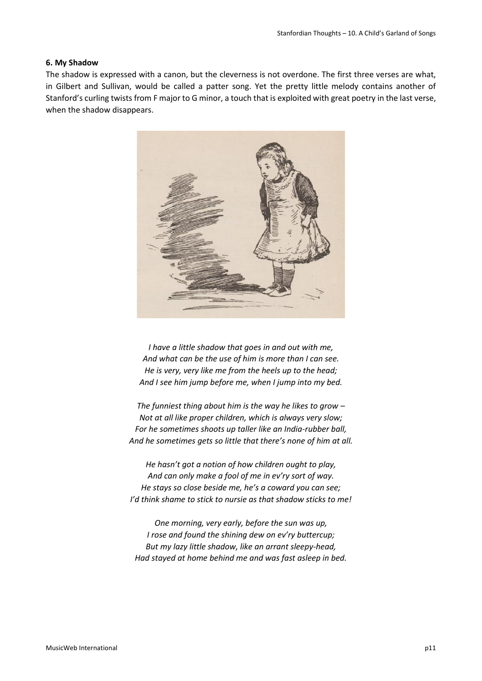## **6. My Shadow**

The shadow is expressed with a canon, but the cleverness is not overdone. The first three verses are what, in Gilbert and Sullivan, would be called a patter song. Yet the pretty little melody contains another of Stanford's curling twists from F major to G minor, a touch that is exploited with great poetry in the last verse, when the shadow disappears.



*I have a little shadow that goes in and out with me, And what can be the use of him is more than I can see. He is very, very like me from the heels up to the head; And I see him jump before me, when I jump into my bed.*

*The funniest thing about him is the way he likes to grow – Not at all like proper children, which is always very slow; For he sometimes shoots up taller like an India-rubber ball, And he sometimes gets so little that there's none of him at all.*

*He hasn't got a notion of how children ought to play, And can only make a fool of me in ev'ry sort of way. He stays so close beside me, he's a coward you can see; I'd think shame to stick to nursie as that shadow sticks to me!*

*One morning, very early, before the sun was up, I rose and found the shining dew on ev'ry buttercup; But my lazy little shadow, like an arrant sleepy-head, Had stayed at home behind me and was fast asleep in bed.*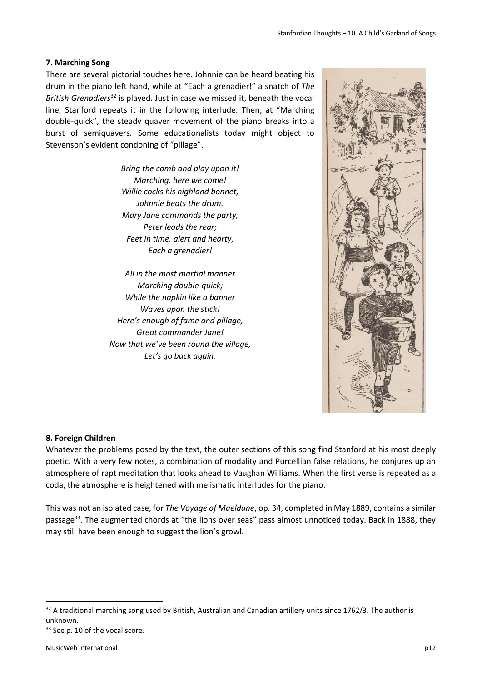## **7. Marching Song**

There are several pictorial touches here. Johnnie can be heard beating his drum in the piano left hand, while at "Each a grenadier!" a snatch of *The British Grenadiers*<sup>32</sup> is played. Just in case we missed it, beneath the vocal line, Stanford repeats it in the following interlude. Then, at "Marching double-quick", the steady quaver movement of the piano breaks into a burst of semiquavers. Some educationalists today might object to Stevenson's evident condoning of "pillage".

> *Bring the comb and play upon it! Marching, here we come! Willie cocks his highland bonnet, Johnnie beats the drum. Mary Jane commands the party, Peter leads the rear; Feet in time, alert and hearty, Each a grenadier!*

*All in the most martial manner Marching double-quick; While the napkin like a banner Waves upon the stick! Here's enough of fame and pillage, Great commander Jane! Now that we've been round the village, Let's go back again.*



#### **8. Foreign Children**

Whatever the problems posed by the text, the outer sections of this song find Stanford at his most deeply poetic. With a very few notes, a combination of modality and Purcellian false relations, he conjures up an atmosphere of rapt meditation that looks ahead to Vaughan Williams. When the first verse is repeated as a coda, the atmosphere is heightened with melismatic interludes for the piano.

This was not an isolated case, for *The Voyage of Maeldune*, op. 34, completed in May 1889, contains a similar passage<sup>33</sup>. The augmented chords at "the lions over seas" pass almost unnoticed today. Back in 1888, they may still have been enough to suggest the lion's growl.

 $32$  A traditional marching song used by British, Australian and Canadian artillery units since 1762/3. The author is unknown.

<sup>33</sup> See p. 10 of the vocal score.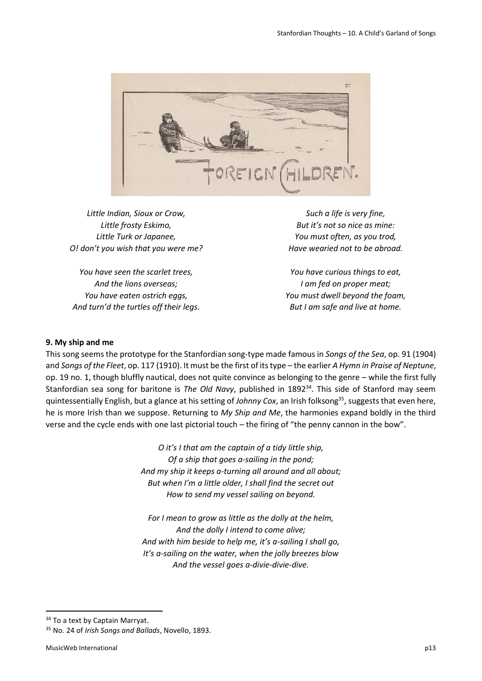

*Little Indian, Sioux or Crow, Little frosty Eskimo, Little Turk or Japanee, O! don't you wish that you were me?*

*You have seen the scarlet trees, And the lions overseas; You have eaten ostrich eggs, And turn'd the turtles off their legs.*

*Such a life is very fine, But it's not so nice as mine: You must often, as you trod, Have wearied not to be abroad.*

*You have curious things to eat, I am fed on proper meat; You must dwell beyond the foam, But I am safe and live at home.*

### **9. My ship and me**

This song seems the prototype for the Stanfordian song-type made famous in *Songs of the Sea*, op. 91 (1904) and *Songs of the Fleet*, op. 117 (1910). It must be the first of its type – the earlier *A Hymn in Praise of Neptune*, op. 19 no. 1, though bluffly nautical, does not quite convince as belonging to the genre – while the first fully Stanfordian sea song for baritone is *The Old Navy*, published in 1892<sup>34</sup>. This side of Stanford may seem quintessentially English, but a glance at his setting of *Johnny Cox*, an Irish folksong<sup>35</sup>, suggests that even here, he is more Irish than we suppose. Returning to *My Ship and Me*, the harmonies expand boldly in the third verse and the cycle ends with one last pictorial touch – the firing of "the penny cannon in the bow".

> *O it's I that am the captain of a tidy little ship, Of a ship that goes a-sailing in the pond; And my ship it keeps a-turning all around and all about; But when I'm a little older, I shall find the secret out How to send my vessel sailing on beyond.*

> *For I mean to grow as little as the dolly at the helm, And the dolly I intend to come alive; And with him beside to help me, it's a-sailing I shall go, It's a-sailing on the water, when the jolly breezes blow And the vessel goes a-divie-divie-dive.*

<sup>&</sup>lt;sup>34</sup> To a text by Captain Marryat.

<sup>35</sup> No. 24 of *Irish Songs and Ballads*, Novello, 1893.